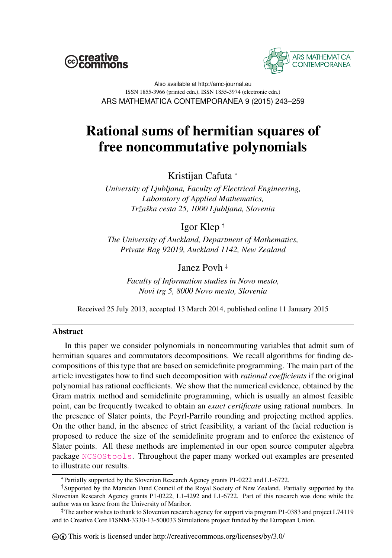



Also available at http://amc-journal.eu ISSN 1855-3966 (printed edn.), ISSN 1855-3974 (electronic edn.) ARS MATHEMATICA CONTEMPORANEA 9 (2015) 243–259

# Rational sums of hermitian squares of free noncommutative polynomials

Kristijan Cafuta <sup>∗</sup>

*University of Ljubljana, Faculty of Electrical Engineering, Laboratory of Applied Mathematics, Tržaška cesta 25, 1000 Ljubljana, Slovenia*

Igor Klep †

*The University of Auckland, Department of Mathematics, Private Bag 92019, Auckland 1142, New Zealand*

Janez Povh ‡

*Faculty of Information studies in Novo mesto, Novi trg 5, 8000 Novo mesto, Slovenia*

Received 25 July 2013, accepted 13 March 2014, published online 11 January 2015

### Abstract

In this paper we consider polynomials in noncommuting variables that admit sum of hermitian squares and commutators decompositions. We recall algorithms for finding decompositions of this type that are based on semidefinite programming. The main part of the article investigates how to find such decomposition with *rational coefficients* if the original polynomial has rational coefficients. We show that the numerical evidence, obtained by the Gram matrix method and semidefinite programming, which is usually an almost feasible point, can be frequently tweaked to obtain an *exact certificate* using rational numbers. In the presence of Slater points, the Peyrl-Parrilo rounding and projecting method applies. On the other hand, in the absence of strict feasibility, a variant of the facial reduction is proposed to reduce the size of the semidefinite program and to enforce the existence of Slater points. All these methods are implemented in our open source computer algebra package [NCSOStools](http://ncsostools.fis.unm.si/). Throughout the paper many worked out examples are presented to illustrate our results.

<sup>∗</sup>Partially supported by the Slovenian Research Agency grants P1-0222 and L1-6722.

<sup>†</sup>Supported by the Marsden Fund Council of the Royal Society of New Zealand. Partially supported by the Slovenian Research Agency grants P1-0222, L1-4292 and L1-6722. Part of this research was done while the author was on leave from the University of Maribor.

<sup>‡</sup>The author wishes to thank to Slovenian research agency for support via program P1-0383 and project L74119 and to Creative Core FISNM-3330-13-500033 Simulations project funded by the European Union.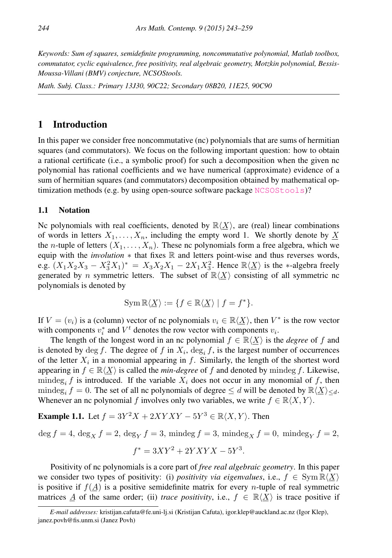*Keywords: Sum of squares, semidefinite programming, noncommutative polynomial, Matlab toolbox, commutator, cyclic equivalence, free positivity, real algebraic geometry, Motzkin polynomial, Bessis-Moussa-Villani (BMV) conjecture, NCSOStools.*

*Math. Subj. Class.: Primary 13J30, 90C22; Secondary 08B20, 11E25, 90C90*

# 1 Introduction

In this paper we consider free noncommutative (nc) polynomials that are sums of hermitian squares (and commutators). We focus on the following important question: how to obtain a rational certificate (i.e., a symbolic proof) for such a decomposition when the given nc polynomial has rational coefficients and we have numerical (approximate) evidence of a sum of hermitian squares (and commutators) decomposition obtained by mathematical optimization methods (e.g. by using open-source software package  $NCSOStools$ )?

#### 1.1 Notation

Nc polynomials with real coefficients, denoted by  $\mathbb{R}\langle X\rangle$ , are (real) linear combinations of words in letters  $X_1, \ldots, X_n$ , including the empty word 1. We shortly denote by X the *n*-tuple of letters  $(X_1, \ldots, X_n)$ . These nc polynomials form a free algebra, which we equip with the *involution* ∗ that fixes R and letters point-wise and thus reverses words, e.g.  $(X_1X_2X_3 - X_3^2X_1)^* = X_3X_2X_1 - 2X_1X_3^2$ . Hence  $\mathbb{R}\langle \underline{X} \rangle$  is the \*-algebra freely generated by *n* symmetric letters. The subset of  $\mathbb{R}\langle X\rangle$  consisting of all symmetric nc polynomials is denoted by

$$
\operatorname{Sym} \mathbb{R} \langle \underline{X} \rangle := \{ f \in \mathbb{R} \langle \underline{X} \rangle \mid f = f^* \}.
$$

If  $V = (v_i)$  is a (column) vector of nc polynomials  $v_i \in \mathbb{R} \langle X \rangle$ , then  $V^*$  is the row vector with components  $v_i^*$  and  $V^t$  denotes the row vector with components  $v_i$ .

The length of the longest word in an nc polynomial  $f \in \mathbb{R}\langle X \rangle$  is the *degree* of f and is denoted by  $\deg f$ . The degree of f in  $X_i$ ,  $\deg_i f$ , is the largest number of occurrences of the letter  $X_i$  in a monomial appearing in f. Similarly, the length of the shortest word appearing in  $f \in \mathbb{R}\langle X \rangle$  is called the *min-degree* of f and denoted by mindeg f. Likewise, mindeg<sub>i</sub> f is introduced. If the variable  $X_i$  does not occur in any monomial of f, then mindeg<sub>i</sub>  $f = 0$ . The set of all nc polynomials of degree  $\le d$  will be denoted by  $\mathbb{R}\langle X\rangle_{\le d}$ . Whenever an nc polynomial f involves only two variables, we write  $f \in \mathbb{R}\langle X, Y \rangle$ .

**Example 1.1.** Let  $f = 3Y^2X + 2XYXY - 5Y^3 \in \mathbb{R}\langle X, Y \rangle$ . Then

$$
\deg f = 4, \deg_X f = 2, \deg_Y f = 3, \, \text{mindeg} f = 3, \, \text{mindeg}_X f = 0, \, \text{mindeg}_Y f = 2,
$$

$$
f^* = 3XY^2 + 2YXYX - 5Y^3.
$$

Positivity of nc polynomials is a core part of *free real algebraic geometry*. In this paper we consider two types of positivity: (i) *positivity via eigenvalues*, i.e.,  $f \in \text{Sym } \mathbb{R}\langle X \rangle$ is positive if  $f(A)$  is a positive semidefinite matrix for every *n*-tuple of real symmetric matrices A of the same order; (ii) *trace positivity*, i.e.,  $f \in \mathbb{R}\langle X \rangle$  is trace positive if

*E-mail addresses:* kristijan.cafuta@fe.uni-lj.si (Kristijan Cafuta), igor.klep@auckland.ac.nz (Igor Klep), janez.povh@fis.unm.si (Janez Povh)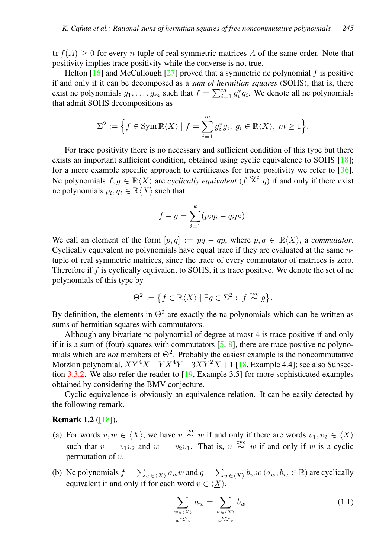tr  $f(A) > 0$  for every *n*-tuple of real symmetric matrices  $\underline{A}$  of the same order. Note that positivity implies trace positivity while the converse is not true.

Helton  $[16]$  and McCullough  $[27]$  proved that a symmetric nc polynomial f is positive if and only if it can be decomposed as a *sum of hermitian squares* (SOHS), that is, there exist nc polynomials  $g_1, \ldots, g_m$  such that  $f = \sum_{i=1}^m g_i^* g_i$ . We denote all nc polynomials that admit SOHS decompositions as

$$
\Sigma^2 := \Big\{ f \in \operatorname{Sym} \mathbb{R} \langle \underline{X} \rangle \mid f = \sum_{i=1}^m g_i^* g_i, \ g_i \in \mathbb{R} \langle \underline{X} \rangle, \ m \ge 1 \Big\}.
$$

For trace positivity there is no necessary and sufficient condition of this type but there exists an important sufficient condition, obtained using cyclic equivalence to SOHS [\[18\]](#page-15-1); for a more example specific approach to certificates for trace positivity we refer to  $\lceil 36 \rceil$ . Nc polynomials  $f, g \in \mathbb{R}\langle \underline{X} \rangle$  are *cyclically equivalent*  $(f \stackrel{\text{cyc}}{\sim} g)$  if and only if there exist nc polynomials  $p_i, q_i \in \mathbb{R} \langle \underline{X} \rangle$  such that

$$
f - g = \sum_{i=1}^{k} (p_i q_i - q_i p_i).
$$

We call an element of the form  $[p, q] := pq - qp$ , where  $p, q \in \mathbb{R}\langle X \rangle$ , a *commutator*. Cyclically equivalent nc polynomials have equal trace if they are evaluated at the same ntuple of real symmetric matrices, since the trace of every commutator of matrices is zero. Therefore if  $f$  is cyclically equivalent to SOHS, it is trace positive. We denote the set of nc polynomials of this type by

$$
\Theta^2:=\big\{f\in\mathbb{R}\langle\underline{X}\rangle\mid\exists g\in\Sigma^2:\ f\stackrel{\mathrm{cyc}}{\thicksim} g\big\}.
$$

By definition, the elements in  $\Theta^2$  are exactly the nc polynomials which can be written as sums of hermitian squares with commutators.

Although any bivariate nc polynomial of degree at most 4 is trace positive if and only if it is a sum of (four) squares with commutators  $[5, 8]$  $[5, 8]$  $[5, 8]$ , there are trace positive nc polynomials which are *not* members of  $\Theta^2$ . Probably the easiest example is the noncommutative Motzkin polynomial,  $XY^4X + YX^4Y - 3XY^2X + 1$  [\[18,](#page-15-1) Example 4.4]; see also Subsection [3.3.2.](#page-12-0) We also refer the reader to [\[19,](#page-15-3) Example 3.5] for more sophisticated examples obtained by considering the BMV conjecture.

Cyclic equivalence is obviously an equivalence relation. It can be easily detected by the following remark.

#### **Remark 1.2** ( $\lceil 18 \rceil$ ).

- (a) For words  $v, w \in \langle \underline{X} \rangle$ , we have  $v \stackrel{\text{cyc}}{\sim} w$  if and only if there are words  $v_1, v_2 \in \langle \underline{X} \rangle$ such that  $v = v_1v_2$  and  $w = v_2v_1$ . That is,  $v \stackrel{\text{cyc}}{\sim} w$  if and only if w is a cyclic permutation of  $v$ .
- (b) Nc polynomials  $f = \sum_{w \in \langle X \rangle} a_w w$  and  $g = \sum_{w \in \langle X \rangle} b_w w (a_w, b_w \in \mathbb{R})$  are cyclically equivalent if and only if for each word  $v \in \langle X \rangle$ ,

<span id="page-2-0"></span>
$$
\sum_{\substack{w \in \langle \underline{X} \rangle \\ w \in \mathcal{X}_v}} a_w = \sum_{\substack{w \in \langle \underline{X} \rangle \\ w \in \mathcal{X}_v}} b_w.
$$
\n(1.1)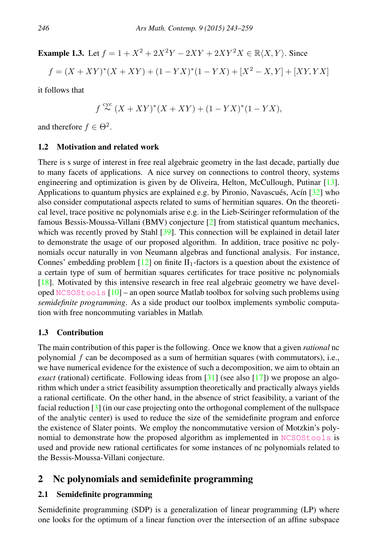**Example 1.3.** Let  $f = 1 + X^2 + 2X^2Y - 2XY + 2XY^2X \in \mathbb{R}\langle X, Y \rangle$ . Since

$$
f = (X + XY)^{*}(X + XY) + (1 - YX)^{*}(1 - YX) + [X^{2} - X, Y] + [XY, YX]
$$

it follows that

$$
f \stackrel{\text{cyc}}{\sim} (X + XY)^*(X + XY) + (1 - YX)^*(1 - YX),
$$

and therefore  $f \in \Theta^2$ .

#### 1.2 Motivation and related work

There is s surge of interest in free real algebraic geometry in the last decade, partially due to many facets of applications. A nice survey on connections to control theory, systems engineering and optimization is given by de Oliveira, Helton, McCullough, Putinar [\[13\]](#page-15-4). Applications to quantum physics are explained e.g. by Pironio, Navascués, Acín [\[32\]](#page-16-2) who also consider computational aspects related to sums of hermitian squares. On the theoretical level, trace positive nc polynomials arise e.g. in the Lieb-Seiringer reformulation of the famous Bessis-Moussa-Villani (BMV) conjecture [\[2\]](#page-14-1) from statistical quantum mechanics, which was recently proved by Stahl [\[39\]](#page-16-3). This connection will be explained in detail later to demonstrate the usage of our proposed algorithm. In addition, trace positive nc polynomials occur naturally in von Neumann algebras and functional analysis. For instance, Connes' embedding problem  $[12]$  on finite  $II_1$ -factors is a question about the existence of a certain type of sum of hermitian squares certificates for trace positive nc polynomials [\[18\]](#page-15-1). Motivated by this intensive research in free real algebraic geometry we have developed [NCSOStools](http://ncsostools.fis.unm.si/) [\[10\]](#page-15-6) – an open source Matlab toolbox for solving such problems using *semidefinite programming*. As a side product our toolbox implements symbolic computation with free noncommuting variables in Matlab.

# 1.3 Contribution

The main contribution of this paper is the following. Once we know that a given *rational* nc polynomial f can be decomposed as a sum of hermitian squares (with commutators), i.e., we have numerical evidence for the existence of such a decomposition, we aim to obtain an *exact* (rational) certificate. Following ideas from [\[31\]](#page-16-4) (see also [\[17\]](#page-15-7)) we propose an algorithm which under a strict feasibility assumption theoretically and practically always yields a rational certificate. On the other hand, in the absence of strict feasibility, a variant of the facial reduction [\[3\]](#page-14-2) (in our case projecting onto the orthogonal complement of the nullspace of the analytic center) is used to reduce the size of the semidefinite program and enforce the existence of Slater points. We employ the noncommutative version of Motzkin's polynomial to demonstrate how the proposed algorithm as implemented in [NCSOStools](http://ncsostools.fis.unm.si/) is used and provide new rational certificates for some instances of nc polynomials related to the Bessis-Moussa-Villani conjecture.

# 2 Nc polynomials and semidefinite programming

# 2.1 Semidefinite programming

Semidefinite programming (SDP) is a generalization of linear programming (LP) where one looks for the optimum of a linear function over the intersection of an affine subspace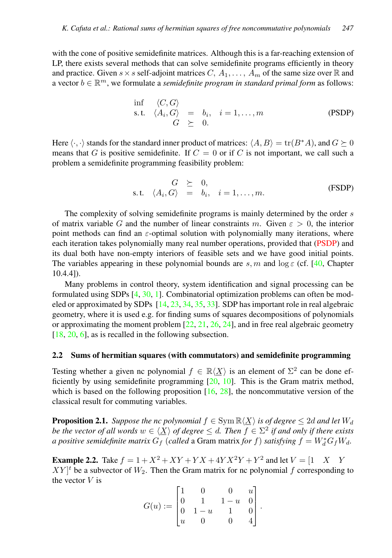with the cone of positive semidefinite matrices. Although this is a far-reaching extension of LP, there exists several methods that can solve semidefinite programs efficiently in theory and practice. Given  $s \times s$  self-adjoint matrices  $C, A_1, \ldots, A_m$  of the same size over R and a vector  $b \in \mathbb{R}^m$ , we formulate a *semidefinite program in standard primal form* as follows:

<span id="page-4-0"></span>
$$
\begin{array}{rcl}\n\inf & \langle C, G \rangle \\
\text{s.t.} & \langle A_i, G \rangle & = & b_i, \quad i = 1, \dots, m \\
G & \geq & 0.\n\end{array} \tag{PSDP}
$$

Here  $\langle \cdot, \cdot \rangle$  stands for the standard inner product of matrices:  $\langle A, B \rangle = \text{tr}(B^*A)$ , and  $G \succeq 0$ means that G is positive semidefinite. If  $C = 0$  or if C is not important, we call such a problem a semidefinite programming feasibility problem:

<span id="page-4-2"></span>
$$
G \geq 0,
$$
  
s.t.  $\langle A_i, G \rangle = b_i, \quad i = 1, ..., m.$  (FSDP)

The complexity of solving semidefinite programs is mainly determined by the order s of matrix variable G and the number of linear constraints m. Given  $\varepsilon > 0$ , the interior point methods can find an  $\varepsilon$ -optimal solution with polynomially many iterations, where each iteration takes polynomially many real number operations, provided that [\(PSDP\)](#page-4-0) and its dual both have non-empty interiors of feasible sets and we have good initial points. The variables appearing in these polynomial bounds are s, m and  $\log \varepsilon$  (cf. [\[40,](#page-16-5) Chapter 10.4.4]).

Many problems in control theory, system identification and signal processing can be formulated using SDPs [\[4,](#page-14-3) [30,](#page-16-6) [1\]](#page-14-4). Combinatorial optimization problems can often be modeled or approximated by SDPs [\[14,](#page-15-8) [23,](#page-15-9) [34,](#page-16-7) [35,](#page-16-8) [33\]](#page-16-9). SDP has important role in real algebraic geometry, where it is used e.g. for finding sums of squares decompositions of polynomials or approximating the moment problem  $[22, 21, 26, 24]$  $[22, 21, 26, 24]$  $[22, 21, 26, 24]$  $[22, 21, 26, 24]$  $[22, 21, 26, 24]$  $[22, 21, 26, 24]$  $[22, 21, 26, 24]$ , and in free real algebraic geometry  $[18, 20, 6]$  $[18, 20, 6]$  $[18, 20, 6]$  $[18, 20, 6]$  $[18, 20, 6]$ , as is recalled in the following subsection.

### <span id="page-4-3"></span>2.2 Sums of hermitian squares (with commutators) and semidefinite programming

Testing whether a given nc polynomial  $f \in \mathbb{R}\langle \underline{X} \rangle$  is an element of  $\Sigma^2$  can be done efficiently by using semidefinite programming [\[20,](#page-15-13) [10\]](#page-15-6). This is the Gram matrix method, which is based on the following proposition  $[16, 28]$  $[16, 28]$  $[16, 28]$ , the noncommutative version of the classical result for commuting variables.

<span id="page-4-1"></span>**Proposition 2.1.** *Suppose the nc polynomial*  $f \in Sym \mathbb{R}\langle X \rangle$  *is of degree*  $\leq 2d$  *and let*  $W_d$ *be the vector of all words*  $w \in \langle \underline{X} \rangle$  *of degree*  $\leq d$ *. Then*  $f \in \Sigma^2$  *if and only if there exists a positive semidefinite matrix*  $G_f$  (*called* a Gram matrix *for*  $f$ ) *satisfying*  $f = W_d^* G_f W_d$ .

**Example 2.2.** Take  $f = 1 + X^2 + XY + YX + 4YX^2Y + Y^2$  and let  $V = \begin{bmatrix} 1 & X \end{bmatrix}$  Y  $XY\vert^t$  be a subvector of  $W_2$ . Then the Gram matrix for nc polynomial f corresponding to the vector  $V$  is

$$
G(u) := \begin{bmatrix} 1 & 0 & 0 & u \\ 0 & 1 & 1-u & 0 \\ 0 & 1-u & 1 & 0 \\ u & 0 & 0 & 4 \end{bmatrix}.
$$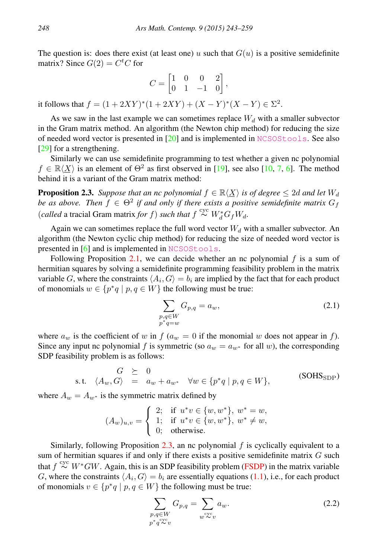The question is: does there exist (at least one) u such that  $G(u)$  is a positive semidefinite matrix? Since  $G(2) = C<sup>t</sup>C$  for

$$
C = \begin{bmatrix} 1 & 0 & 0 & 2 \\ 0 & 1 & -1 & 0 \end{bmatrix},
$$

it follows that  $f = (1 + 2XY)^{*}(1 + 2XY) + (X - Y)^{*}(X - Y) \in \Sigma^{2}$ .

As we saw in the last example we can sometimes replace  $W<sub>d</sub>$  with a smaller subvector in the Gram matrix method. An algorithm (the Newton chip method) for reducing the size of needed word vector is presented in  $[20]$  and is implemented in [NCSOStools](http://ncsostools.fis.unm.si/). See also [\[29\]](#page-16-12) for a strengthening.

Similarly we can use semidefinite programming to test whether a given nc polynomial  $f \in \mathbb{R}\langle \underline{X} \rangle$  is an element of  $\Theta^2$  as first observed in [\[19\]](#page-15-3), see also [\[10,](#page-15-6) [7,](#page-15-14) [6\]](#page-14-5). The method behind it is a variant of the Gram matrix method:

<span id="page-5-0"></span>**Proposition 2.3.** Suppose that an nc polynomial  $f \in \mathbb{R}\langle X \rangle$  is of degree  $\leq 2d$  and let  $W_d$ *be as above. Then*  $f \in \Theta^2$  *if and only if there exists a positive semidefinite matrix*  $G_f$ (*called* a tracial Gram matrix *for f*) *such that*  $f \stackrel{\text{cyc}}{\sim} W_d^* G_f W_d$ .

Again we can sometimes replace the full word vector  $W_d$  with a smaller subvector. An algorithm (the Newton cyclic chip method) for reducing the size of needed word vector is presented in [\[6\]](#page-14-5) and is implemented in [NCSOStools](http://ncsostools.fis.unm.si/).

Following Proposition [2.1,](#page-4-1) we can decide whether an nc polynomial  $f$  is a sum of hermitian squares by solving a semidefinite programming feasibility problem in the matrix variable G, where the constraints  $\langle A_i, G \rangle = b_i$  are implied by the fact that for each product of monomials  $w \in \{p^*q \mid p, q \in W\}$  the following must be true:

<span id="page-5-1"></span>
$$
\sum_{\substack{p,q \in W \\ p^*q = w}} G_{p,q} = a_w,\tag{2.1}
$$

where  $a_w$  is the coefficient of w in  $f(a_w = 0$  if the monomial w does not appear in f). Since any input nc polynomial f is symmetric (so  $a_w = a_{w^*}$  for all w), the corresponding SDP feasibility problem is as follows:

$$
G \geq 0
$$
  
s.t.  $\langle A_w, G \rangle = a_w + a_{w^*} \quad \forall w \in \{p^*q \mid p, q \in W\},$  (SOHS<sub>SDP</sub>)

where  $A_w = A_{w^*}$  is the symmetric matrix defined by

$$
(A_w)_{u,v} = \begin{cases} 2; & \text{if } u^*v \in \{w, w^*\}, w^* = w, \\ 1; & \text{if } u^*v \in \{w, w^*\}, w^* \neq w, \\ 0; & \text{otherwise.} \end{cases}
$$

Similarly, following Proposition  $2.3$ , an nc polynomial  $f$  is cyclically equivalent to a sum of hermitian squares if and only if there exists a positive semidefinite matrix  $G$  such that  $f \stackrel{\text{cyc}}{\sim} W^*GW$ . Again, this is an SDP feasibility problem [\(FSDP\)](#page-4-2) in the matrix variable G, where the constraints  $\langle A_i, G \rangle = b_i$  are essentially equations [\(1.1\)](#page-2-0), i.e., for each product of monomials  $v \in \{p^*q \mid p, q \in W\}$  the following must be true:

<span id="page-5-2"></span>
$$
\sum_{\substack{p,q \in W \\ p^*q^{\text{cyc}}v}} G_{p,q} = \sum_{w^{\text{cyc}}v} a_w.
$$
\n(2.2)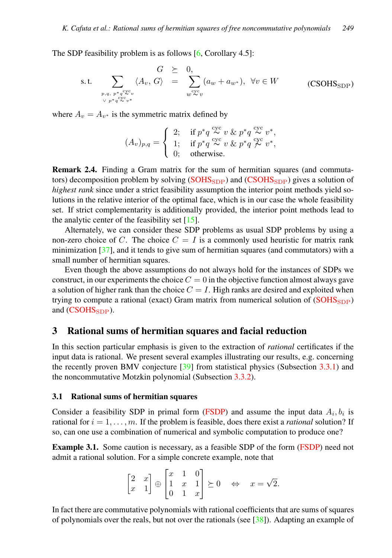The SDP feasibility problem is as follows  $[6,$  Corollary 4.5]:

$$
\text{s.t.} \quad \sum_{\substack{p,q,\ p^*q \overset{cyc}{\sim} v \\ \vee p^*q^{\text{cyc}}v^*}} \langle A_v, G \rangle \quad = \quad \sum_{w \overset{cyc}{\sim} v} (a_w + a_{w^*}), \ \ \forall v \in W \tag{CSOHS}_{\text{SDP}}
$$

where  $A_v = A_{v^*}$  is the symmetric matrix defined by

<span id="page-6-0"></span>
$$
(A_v)_{p,q} = \begin{cases} 2; & \text{if } p^*q \overset{\text{cyc}}{\sim} v \ \& p^*q \overset{\text{cyc}}{\sim} v^*, \\ 1; & \text{if } p^*q \overset{\text{cyc}}{\sim} v \ \& p^*q \overset{\text{cyc}}{\not\sim} v^*, \\ 0; & \text{otherwise.} \end{cases}
$$

<span id="page-6-1"></span>Remark 2.4. Finding a Gram matrix for the sum of hermitian squares (and commutators) decomposition problem by solving  $(SOHS<sub>SDP</sub>)$  $(SOHS<sub>SDP</sub>)$  and  $(CSOHS<sub>SDP</sub>)$  $(CSOHS<sub>SDP</sub>)$  gives a solution of *highest rank* since under a strict feasibility assumption the interior point methods yield solutions in the relative interior of the optimal face, which is in our case the whole feasibility set. If strict complementarity is additionally provided, the interior point methods lead to the analytic center of the feasibility set  $[15]$ .

Alternately, we can consider these SDP problems as usual SDP problems by using a non-zero choice of C. The choice  $C = I$  is a commonly used heuristic for matrix rank minimization [\[37\]](#page-16-13), and it tends to give sum of hermitian squares (and commutators) with a small number of hermitian squares.

Even though the above assumptions do not always hold for the instances of SDPs we construct, in our experiments the choice  $C = 0$  in the objective function almost always gave a solution of higher rank than the choice  $C = I$ . High ranks are desired and exploited when trying to compute a rational (exact) Gram matrix from numerical solution of  $(SOHS<sub>SDP</sub>)$  $(SOHS<sub>SDP</sub>)$ and  $(CSOHS_{SDP})$  $(CSOHS_{SDP})$ .

# 3 Rational sums of hermitian squares and facial reduction

In this section particular emphasis is given to the extraction of *rational* certificates if the input data is rational. We present several examples illustrating our results, e.g. concerning the recently proven BMV conjecture  $[39]$  from statistical physics (Subsection [3.3.1\)](#page-8-0) and the noncommutative Motzkin polynomial (Subsection [3.3.2\)](#page-12-0).

#### 3.1 Rational sums of hermitian squares

Consider a feasibility SDP in primal form [\(FSDP\)](#page-4-2) and assume the input data  $A_i, b_i$  is rational for  $i = 1, \ldots, m$ . If the problem is feasible, does there exist a *rational* solution? If so, can one use a combination of numerical and symbolic computation to produce one?

Example 3.1. Some caution is necessary, as a feasible SDP of the form [\(FSDP\)](#page-4-2) need not admit a rational solution. For a simple concrete example, note that

$$
\begin{bmatrix} 2 & x \\ x & 1 \end{bmatrix} \oplus \begin{bmatrix} x & 1 & 0 \\ 1 & x & 1 \\ 0 & 1 & x \end{bmatrix} \succeq 0 \quad \Leftrightarrow \quad x = \sqrt{2}.
$$

In fact there are commutative polynomials with rational coefficients that are sums of squares of polynomials over the reals, but not over the rationals (see  $[38]$ ). Adapting an example of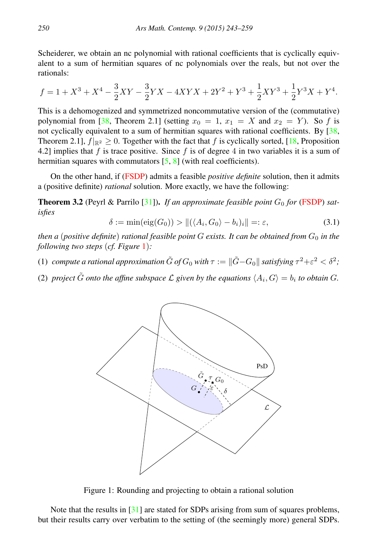Scheiderer, we obtain an nc polynomial with rational coefficients that is cyclically equivalent to a sum of hermitian squares of nc polynomials over the reals, but not over the rationals:

$$
f = 1 + X^3 + X^4 - \frac{3}{2}XY - \frac{3}{2}YX - 4XYX + 2Y^2 + Y^3 + \frac{1}{2}XY^3 + \frac{1}{2}Y^3X + Y^4.
$$

This is a dehomogenized and symmetrized noncommutative version of the (commutative) polynomial from [\[38,](#page-16-14) Theorem 2.1] (setting  $x_0 = 1$ ,  $x_1 = X$  and  $x_2 = Y$ ). So f is not cyclically equivalent to a sum of hermitian squares with rational coefficients. By [\[38,](#page-16-14) Theorem 2.1],  $f_{\mathbb{R}^2} \geq 0$ . Together with the fact that f is cyclically sorted, [\[18,](#page-15-1) Proposition 4.2] implies that f is trace positive. Since f is of degree 4 in two variables it is a sum of hermitian squares with commutators [\[5,](#page-14-0) [8\]](#page-15-2) (with real coefficients).

On the other hand, if [\(FSDP\)](#page-4-2) admits a feasible *positive definite* solution, then it admits a (positive definite) *rational* solution. More exactly, we have the following:

<span id="page-7-1"></span>**Theorem 3.2** (Peyrl & Parrilo  $[31]$ ). *If an approximate feasible point*  $G_0$  *for* [\(FSDP\)](#page-4-2) *satisfies*

$$
\delta := \min(\text{eig}(G_0)) > ||(\langle A_i, G_0 \rangle - b_i)_i|| =: \varepsilon,
$$
\n(3.1)

*then a* (*positive definite*) *rational feasible point*  $G$  *exists. It can be obtained from*  $G_0$  *in the following two steps* (*cf. Figure* [1](#page-7-0))*:*

- (1) *compute a rational approximation*  $\tilde{G}$  *of*  $G_0$  *with*  $\tau := \|\tilde{G} G_0\|$  *satisfying*  $\tau^2 + \varepsilon^2 < \delta^2$ ;
- (2) *project*  $\tilde{G}$  *onto the affine subspace*  $\mathcal L$  given by the equations  $\langle A_i, G \rangle = b_i$  to obtain G.



<span id="page-7-0"></span>Figure 1: Rounding and projecting to obtain a rational solution

Note that the results in [\[31\]](#page-16-4) are stated for SDPs arising from sum of squares problems, but their results carry over verbatim to the setting of (the seemingly more) general SDPs.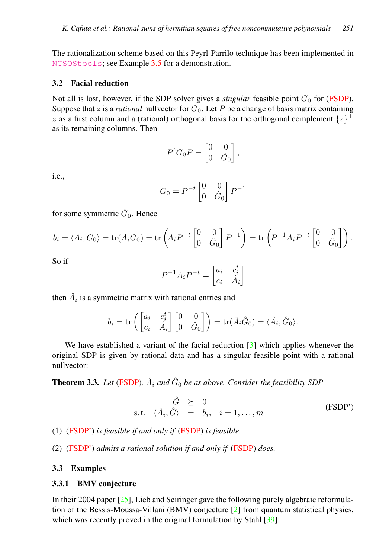The rationalization scheme based on this Peyrl-Parrilo technique has been implemented in [NCSOStools](http://ncsostools.fis.unm.si/); see Example [3.5](#page-9-0) for a demonstration.

#### <span id="page-8-2"></span>3.2 Facial reduction

Not all is lost, however, if the SDP solver gives a *singular* feasible point  $G_0$  for [\(FSDP\)](#page-4-2). Suppose that z is a *rational* nullvector for  $G_0$ . Let P be a change of basis matrix containing z as a first column and a (rational) orthogonal basis for the orthogonal complement  $\{z\}^{\perp}$ as its remaining columns. Then

$$
P^t G_0 P = \begin{bmatrix} 0 & 0 \\ 0 & \hat{G}_0 \end{bmatrix},
$$

i.e.,

$$
G_0 = P^{-t} \begin{bmatrix} 0 & 0 \\ 0 & \hat{G}_0 \end{bmatrix} P^{-1}
$$

for some symmetric  $\hat{G}_0$ . Hence

$$
b_i = \langle A_i, G_0 \rangle = \text{tr}(A_i G_0) = \text{tr}\left(A_i P^{-t} \begin{bmatrix} 0 & 0 \\ 0 & \hat{G}_0 \end{bmatrix} P^{-1}\right) = \text{tr}\left(P^{-1} A_i P^{-t} \begin{bmatrix} 0 & 0 \\ 0 & \hat{G}_0 \end{bmatrix}\right).
$$

So if

$$
P^{-1}A_i P^{-t} = \begin{bmatrix} a_i & c_i^t \\ c_i & \hat{A}_i \end{bmatrix}
$$

then  $\hat{A}_i$  is a symmetric matrix with rational entries and

$$
b_i = \text{tr}\left(\begin{bmatrix} a_i & c_i^t \\ c_i & \hat{A}_i \end{bmatrix} \begin{bmatrix} 0 & 0 \\ 0 & \hat{G}_0 \end{bmatrix}\right) = \text{tr}(\hat{A}_i \hat{G}_0) = \langle \hat{A}_i, \hat{G}_0 \rangle.
$$

We have established a variant of the facial reduction [\[3\]](#page-14-2) which applies whenever the original SDP is given by rational data and has a singular feasible point with a rational nullvector:

<span id="page-8-3"></span>**Theorem 3.3.** Let [\(FSDP\)](#page-4-2),  $\hat{A}_i$  and  $\hat{G}_0$  be as above. Consider the feasibility SDP

<span id="page-8-1"></span>
$$
\hat{G} \geq 0
$$
  
s.t.  $\langle \hat{A}_i, \hat{G} \rangle = b_i, \quad i = 1, ..., m$  (FSDP')

(1) [\(FSDP'\)](#page-8-1) *is feasible if and only if* [\(FSDP\)](#page-4-2) *is feasible.*

(2) [\(FSDP'\)](#page-8-1) *admits a rational solution if and only if* [\(FSDP\)](#page-4-2) *does.*

#### 3.3 Examples

#### <span id="page-8-0"></span>3.3.1 BMV conjecture

In their 2004 paper [\[25\]](#page-15-16), Lieb and Seiringer gave the following purely algebraic reformulation of the Bessis-Moussa-Villani (BMV) conjecture [\[2\]](#page-14-1) from quantum statistical physics, which was recently proved in the original formulation by Stahl [\[39\]](#page-16-3):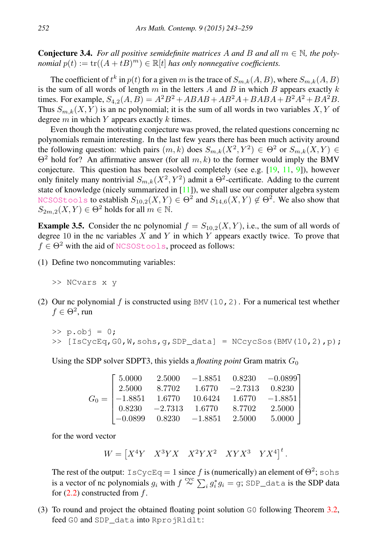**Conjecture 3.4.** For all positive semidefinite matrices A and B and all  $m \in \mathbb{N}$ , the poly*nomial*  $p(t) := \text{tr}((A + tB)^m) \in \mathbb{R}[t]$  *has only nonnegative coefficients.* 

The coefficient of  $t^k$  in  $p(t)$  for a given  $m$  is the trace of  $S_{m,k}(A, B)$ , where  $S_{m,k}(A, B)$ is the sum of all words of length  $m$  in the letters  $A$  and  $B$  in which  $B$  appears exactly  $k$ times. For example,  $S_{4,2}(A, B) = A^2B^2 + ABAB + AB^2A + BABA + B^2A^2 + BA^2B$ . Thus  $S_{m,k}(X, Y)$  is an nc polynomial; it is the sum of all words in two variables X, Y of degree  $m$  in which  $Y$  appears exactly  $k$  times.

Even though the motivating conjecture was proved, the related questions concerning nc polynomials remain interesting. In the last few years there has been much activity around the following question: which pairs  $(m, k)$  does  $S_{m,k}(X^2, Y^2) \in \Theta^2$  or  $S_{m,k}(X, Y) \in$  $\Theta^2$  hold for? An affirmative answer (for all m, k) to the former would imply the BMV conjecture. This question has been resolved completely (see e.g. [\[19,](#page-15-3) [11,](#page-15-17) [9\]](#page-15-18)), however only finitely many nontrivial  $S_{m,k}(X^2, Y^2)$  admit a  $\Theta^2$ -certificate. Adding to the current state of knowledge (nicely summarized in [\[11\]](#page-15-17)), we shall use our computer algebra system <code>[NCSOStools](http://ncsostools.fis.unm.si/)</code> to establish  $S_{10,2}(X,Y)\in\Theta^2$  and  $S_{14,6}(X,Y)\not\in\Theta^2.$  We also show that  $S_{2m,2}(X, Y) \in \Theta^2$  holds for all  $m \in \mathbb{N}$ .

<span id="page-9-0"></span>**Example 3.5.** Consider the nc polynomial  $f = S_{10,2}(X, Y)$ , i.e., the sum of all words of degree 10 in the nc variables  $X$  and  $Y$  in which  $Y$  appears exactly twice. To prove that  $f \in \Theta^2$  with the aid of [NCSOStools](http://ncsostools.fis.unm.si/), proceed as follows:

(1) Define two noncommuting variables:

>> NCvars x y

(2) Our nc polynomial f is constructed using BMV (10, 2). For a numerical test whether  $f \in \Theta^2$ , run

 $>> p.$ obj = 0;  $\Rightarrow$  [IsCycEq,G0,W,sohs,q,SDP\_data] = NCcycSos(BMV(10,2),p);

Using the SDP solver SDPT3, this yields a *floating point* Gram matrix  $G_0$ 

|  |  | $\begin{bmatrix} 5.0000 & 2.5000 & -1.8851 & 0.8230 & -0.0899 \end{bmatrix}$                                                       |
|--|--|------------------------------------------------------------------------------------------------------------------------------------|
|  |  | $\begin{bmatrix} 2.5000 & 8.7702 & 1.6770 & -2.7313 & 0.8230 \end{bmatrix}$                                                        |
|  |  |                                                                                                                                    |
|  |  | $G_0 = \begin{bmatrix} -1.8851 & 1.6770 & 10.6424 & 1.6770 & -1.8851 \\ 0.8230 & -2.7313 & 1.6770 & 8.7702 & 2.5000 \end{bmatrix}$ |
|  |  | $\begin{bmatrix} -0.0899 & 0.8230 & -1.8851 & 2.5000 & 5.0000 \end{bmatrix}$                                                       |

for the word vector

$$
W = \begin{bmatrix} X^4 Y & X^3 Y X & X^2 Y X^2 & XY X^3 & Y X^4 \end{bmatrix}^t.
$$

The rest of the output:  $I sCycEq = 1$  since f is (numerically) an element of  $\Theta^2$ ; sohs is a vector of nc polynomials  $g_i$  with  $f \stackrel{\text{cyc}}{\sim} \sum_i g_i^* g_i = g$ ; SDP\_data is the SDP data for  $(2.2)$  constructed from f.

(3) To round and project the obtained floating point solution G0 following Theorem [3.2,](#page-7-1) feed G0 and SDP\_data into RprojRldlt: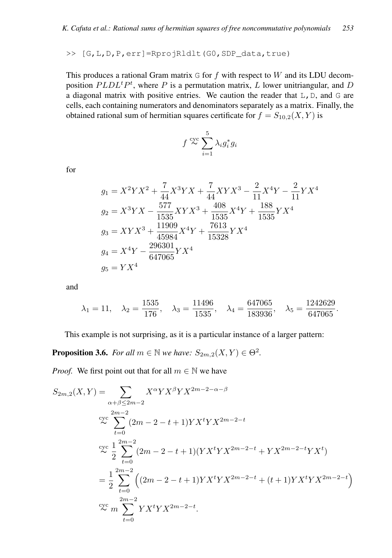>> [G,L,D,P,err]=RprojRldlt(G0,SDP\_data,true)

This produces a rational Gram matrix  $G$  for  $f$  with respect to  $W$  and its LDU decomposition  $PLDL<sup>t</sup>P<sup>t</sup>$ , where P is a permutation matrix, L lower unitriangular, and D a diagonal matrix with positive entries. We caution the reader that  $L, D$ , and G are cells, each containing numerators and denominators separately as a matrix. Finally, the obtained rational sum of hermitian squares certificate for  $f = S_{10,2}(X, Y)$  is

$$
f \stackrel{\text{cyc}}{\thicksim} \sum_{i=1}^{5} \lambda_i g_i^* g_i
$$

for

$$
g_1 = X^2 Y X^2 + \frac{7}{44} X^3 Y X + \frac{7}{44} XY X^3 - \frac{2}{11} X^4 Y - \frac{2}{11} Y X^4
$$
  
\n
$$
g_2 = X^3 Y X - \frac{577}{1535} XY X^3 + \frac{408}{1535} X^4 Y + \frac{188}{1535} Y X^4
$$
  
\n
$$
g_3 = XY X^3 + \frac{11909}{45984} X^4 Y + \frac{7613}{15328} Y X^4
$$
  
\n
$$
g_4 = X^4 Y - \frac{296301}{647065} Y X^4
$$
  
\n
$$
g_5 = Y X^4
$$

and

$$
\lambda_1 = 11, \quad \lambda_2 = \frac{1535}{176}, \quad \lambda_3 = \frac{11496}{1535}, \quad \lambda_4 = \frac{647065}{183936}, \quad \lambda_5 = \frac{1242629}{647065}.
$$

This example is not surprising, as it is a particular instance of a larger pattern:

**Proposition 3.6.** *For all*  $m \in \mathbb{N}$  *we have:*  $S_{2m,2}(X,Y) \in \Theta^2$ .

*Proof.* We first point out that for all  $m \in \mathbb{N}$  we have

$$
S_{2m,2}(X,Y) = \sum_{\alpha+\beta \le 2m-2} X^{\alpha} Y X^{\beta} Y X^{2m-2-\alpha-\beta}
$$
  
\n
$$
\sum_{t=0}^{2m-2} (2m-2-t+1) Y X^t Y X^{2m-2-t}
$$
  
\n
$$
\sum_{t=0}^{\infty} \frac{1}{2} \sum_{t=0}^{2m-2} (2m-2-t+1) (Y X^t Y X^{2m-2-t} + Y X^{2m-2-t} Y X^t)
$$
  
\n
$$
= \frac{1}{2} \sum_{t=0}^{2m-2} \left( (2m-2-t+1) Y X^t Y X^{2m-2-t} + (t+1) Y X^t Y X^{2m-2-t} \right)
$$
  
\n
$$
\sum_{t=0}^{\infty} \sum_{t=0}^{2m-2} Y X^t Y X^{2m-2-t}.
$$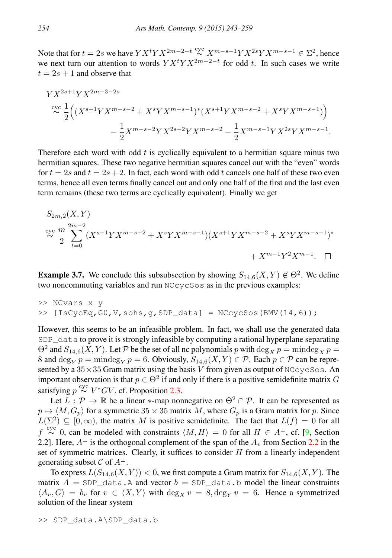Note that for  $t = 2s$  we have  $Y X^t Y X^{2m-2-t} \stackrel{\text{cyc}}{\sim} X^{m-s-1} Y X^{2s} Y X^{m-s-1} \in \Sigma^2$ , hence we next turn our attention to words  $Y X^t Y X^{2m-2-t}$  for odd t. In such cases we write  $t = 2s + 1$  and observe that

$$
YX^{2s+1}YX^{2m-3-2s}
$$
  
\n
$$
\sim \frac{1}{2} \Big( (X^{s+1}YX^{m-s-2} + X^sYX^{m-s-1})^* (X^{s+1}YX^{m-s-2} + X^sYX^{m-s-1}) \Big) - \frac{1}{2}X^{m-s-2}YX^{2s+2}YX^{m-s-2} - \frac{1}{2}X^{m-s-1}YX^{2s}YX^{m-s-1}.
$$

Therefore each word with odd  $t$  is cyclically equivalent to a hermitian square minus two hermitian squares. These two negative hermitian squares cancel out with the "even" words for  $t = 2s$  and  $t = 2s + 2$ . In fact, each word with odd t cancels one half of these two even terms, hence all even terms finally cancel out and only one half of the first and the last even term remains (these two terms are cyclically equivalent). Finally we get

$$
S_{2m,2}(X,Y)
$$
  
\n
$$
\approx \frac{m}{2} \sum_{t=0}^{2m-2} (X^{s+1}YX^{m-s-2} + X^sYX^{m-s-1})(X^{s+1}YX^{m-s-2} + X^sYX^{m-s-1})^*
$$
  
\n
$$
+ X^{m-1}Y^2X^{m-1}. \quad \Box
$$

**Example 3.7.** We conclude this subsubsection by showing  $S_{14,6}(X,Y) \notin \Theta^2$ . We define two noncommuting variables and run NCcycSos as in the previous examples:

>> NCvars x y >> [IsCycEq,G0,V,sohs,g,SDP\_data] = NCcycSos(BMV(14,6));

However, this seems to be an infeasible problem. In fact, we shall use the generated data SDP data to prove it is strongly infeasible by computing a rational hyperplane separating  $\Theta^2$  and  $S_{14,6}(X, Y)$ . Let P be the set of all nc polynomials p with  $\deg_X p = \text{mindeg}_X p =$ 8 and deg<sub>Y</sub>  $p =$ mindeg<sub>Y</sub>  $p = 6$ . Obviously,  $S_{14,6}(X, Y) \in \mathcal{P}$ . Each  $p \in \mathcal{P}$  can be represented by a  $35 \times 35$  Gram matrix using the basis V from given as output of NCcycSos. An important observation is that  $p \in \Theta^2$  if and only if there is a positive semidefinite matrix G satisfying  $p \stackrel{\text{cyc}}{\thicksim} V^*GV$ , cf. Proposition [2.3.](#page-5-0)

Let  $L : \mathcal{P} \to \mathbb{R}$  be a linear  $*$ -map nonnegative on  $\Theta^2 \cap \mathcal{P}$ . It can be represented as  $p \mapsto \langle M, G_p \rangle$  for a symmetric 35  $\times$  35 matrix M, where  $G_p$  is a Gram matrix for p. Since  $L(\Sigma^2) \subseteq [0,\infty)$ , the matrix M is positive semidefinite. The fact that  $L(f) = 0$  for all  $f \stackrel{\text{cyc}}{\sim} 0$ , can be modeled with constraints  $\langle M, H \rangle = 0$  for all  $H \in A^{\perp}$ , cf. [\[9,](#page-15-18) Section [2.2](#page-4-3)]. Here,  $A^{\perp}$  is the orthogonal complement of the span of the  $A_v$  from Section 2.2 in the set of symmetric matrices. Clearly, it suffices to consider  $H$  from a linearly independent generating subset C of  $A^{\perp}$ .

To express  $L(S_{14,6}(X, Y)) < 0$ , we first compute a Gram matrix for  $S_{14,6}(X, Y)$ . The matrix  $A = SDP$  data. A and vector  $b = SDP$  data. b model the linear constraints  $\langle A_v, G \rangle = b_v$  for  $v \in \langle X, Y \rangle$  with  $\deg_X v = 8, \deg_Y v = 6$ . Hence a symmetrized solution of the linear system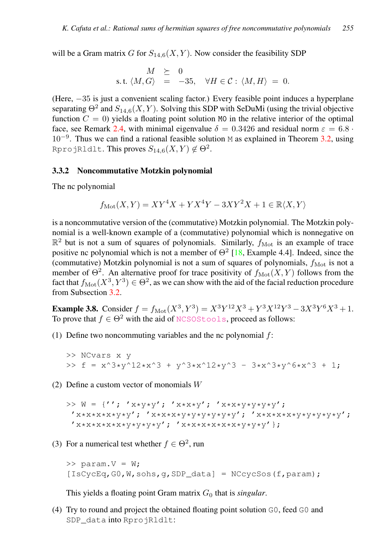will be a Gram matrix G for  $S_{14,6}(X, Y)$ . Now consider the feasibility SDP

$$
M \geq 0
$$
  
s.t.  $\langle M, G \rangle = -35, \quad \forall H \in \mathcal{C} : \langle M, H \rangle = 0.$ 

(Here, −35 is just a convenient scaling factor.) Every feasible point induces a hyperplane separating  $\Theta^2$  and  $S_{14,6}(X,Y)$ . Solving this SDP with SeDuMi (using the trivial objective function  $C = 0$ ) yields a floating point solution M0 in the relative interior of the optimal face, see Remark [2.4,](#page-6-1) with minimal eigenvalue  $\delta = 0.3426$  and residual norm  $\varepsilon = 6.8 \cdot$ 10<sup>−</sup><sup>9</sup> . Thus we can find a rational feasible solution M as explained in Theorem [3.2,](#page-7-1) using RprojRldlt. This proves  $S_{14,6}(X,Y)\not\in\Theta^2.$ 

#### <span id="page-12-0"></span>3.3.2 Noncommutative Motzkin polynomial

The nc polynomial

$$
f_{\rm Mot}(X,Y)=XY^4X+YX^4Y-3XY^2X+1\in\mathbb{R}\langle X,Y\rangle
$$

is a noncommutative version of the (commutative) Motzkin polynomial. The Motzkin polynomial is a well-known example of a (commutative) polynomial which is nonnegative on  $\mathbb{R}^2$  but is not a sum of squares of polynomials. Similarly,  $f_{\text{Mot}}$  is an example of trace positive nc polynomial which is not a member of  $\Theta^2$  [\[18,](#page-15-1) Example 4.4]. Indeed, since the (commutative) Motzkin polynomial is not a sum of squares of polynomials,  $f_{\text{Mot}}$  is not a member of  $\Theta^2$ . An alternative proof for trace positivity of  $f_{\text{Mot}}(X, Y)$  follows from the fact that  $f_{\rm Mot}(X^3, Y^3) \in \Theta^2$ , as we can show with the aid of the facial reduction procedure from Subsection [3.2.](#page-8-2)

**Example 3.8.** Consider  $f = f_{\text{Mot}}(X^3, Y^3) = X^3 Y^{12} X^3 + Y^3 X^{12} Y^3 - 3X^3 Y^6 X^3 + 1$ . To prove that  $f \in \Theta^2$  with the aid of [NCSOStools](http://ncsostools.fis.unm.si/), proceed as follows:

(1) Define two noncommuting variables and the nc polynomial  $f$ :

>> NCvars x y >> f = x^3\*y^12\*x^3 + y^3\*x^12\*y^3 - 3\*x^3\*y^6\*x^3 + 1;

(2) Define a custom vector of monomials W

>>  $W = \{ ' ' ; ' x * y * y' ; ' x * x * y' ; ' x * x * y * y * y * y * y' ;$ 'x\*x\*x\*x\*y\*y'; 'x\*x\*x\*y\*y\*y\*y\*y\*y'; 'x\*x\*x\*x\*y\*y\*y\*y\*y'; 'x\*x\*x\*x\*x\*y\*y\*y\*y'; 'x\*x\*x\*x\*x\*x\*y\*y\*y'};

(3) For a numerical test whether  $f \in \Theta^2$ , run

>> param.V = W; [IsCycEq,G0,W,sohs,g,SDP\_data] = NCcycSos(f,param);

This yields a floating point Gram matrix  $G_0$  that is *singular*.

(4) Try to round and project the obtained floating point solution G0, feed G0 and SDP\_data into RprojRldlt: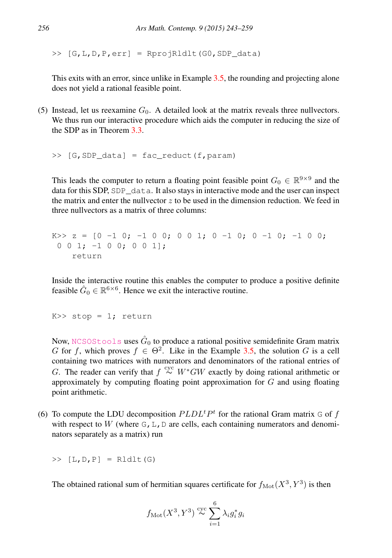$\geq$  [G, L, D, P, err] = RprojRldlt(G0, SDP\_data)

This exits with an error, since unlike in Example [3.5,](#page-9-0) the rounding and projecting alone does not yield a rational feasible point.

(5) Instead, let us reexamine  $G_0$ . A detailed look at the matrix reveals three nullvectors. We thus run our interactive procedure which aids the computer in reducing the size of the SDP as in Theorem [3.3.](#page-8-3)

 $\Rightarrow$  [G, SDP\_data] = fac\_reduct(f, param)

This leads the computer to return a floating point feasible point  $G_0 \in \mathbb{R}^{9 \times 9}$  and the data for this SDP, SDP\_data. It also stays in interactive mode and the user can inspect the matrix and enter the nullvector  $z$  to be used in the dimension reduction. We feed in three nullvectors as a matrix of three columns:

```
K>> z = [0 -1 0; -1 0 0; 0 0 1; 0 -1 0; 0 -1 0; -1 0 j]0 0 1; -1 0 0; 0 0 1];
    return
```
Inside the interactive routine this enables the computer to produce a positive definite feasible  $\hat{G}_0 \in \mathbb{R}^{6 \times 6}$ . Hence we exit the interactive routine.

 $K>>$  stop = 1; return

Now, [NCSOStools](http://ncsostools.fis.unm.si/) uses  $\hat{G}_0$  to produce a rational positive semidefinite Gram matrix G for f, which proves  $f \in \Theta^2$ . Like in the Example [3.5,](#page-9-0) the solution G is a cell containing two matrices with numerators and denominators of the rational entries of G. The reader can verify that  $f \stackrel{\text{cyc}}{\sim} W^*GW$  exactly by doing rational arithmetic or approximately by computing floating point approximation for  $G$  and using floating point arithmetic.

(6) To compute the LDU decomposition  $PLDL<sup>t</sup>P<sup>t</sup>$  for the rational Gram matrix G of f with respect to W (where  $G, L, D$  are cells, each containing numerators and denominators separately as a matrix) run

 $>> [L, D, P] =$ Rldlt(G)

The obtained rational sum of hermitian squares certificate for  $f_{\text{Mot}}(X^3, Y^3)$  is then

$$
f_{\text{Mot}}(X^3, Y^3) \stackrel{\text{cyc}}{\sim} \sum_{i=1}^6 \lambda_i g_i^* g_i
$$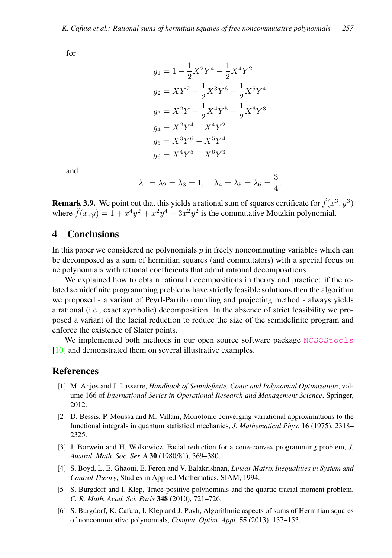for

$$
g_1 = 1 - \frac{1}{2}X^2Y^4 - \frac{1}{2}X^4Y^2
$$
  
\n
$$
g_2 = XY^2 - \frac{1}{2}X^3Y^6 - \frac{1}{2}X^5Y^4
$$
  
\n
$$
g_3 = X^2Y - \frac{1}{2}X^4Y^5 - \frac{1}{2}X^6Y^3
$$
  
\n
$$
g_4 = X^2Y^4 - X^4Y^2
$$
  
\n
$$
g_5 = X^3Y^6 - X^5Y^4
$$
  
\n
$$
g_6 = X^4Y^5 - X^6Y^3
$$

and

$$
\lambda_1 = \lambda_2 = \lambda_3 = 1, \quad \lambda_4 = \lambda_5 = \lambda_6 = \frac{3}{4}.
$$

**Remark 3.9.** We point out that this yields a rational sum of squares certificate for  $\check{f}(x^3, y^3)$ where  $\check{f}(x,y) = 1 + x^4y^2 + x^2y^4 - 3x^2y^2$  is the commutative Motzkin polynomial.

# 4 Conclusions

In this paper we considered nc polynomials  $p$  in freely noncommuting variables which can be decomposed as a sum of hermitian squares (and commutators) with a special focus on nc polynomials with rational coefficients that admit rational decompositions.

We explained how to obtain rational decompositions in theory and practice: if the related semidefinite programming problems have strictly feasible solutions then the algorithm we proposed - a variant of Peyrl-Parrilo rounding and projecting method - always yields a rational (i.e., exact symbolic) decomposition. In the absence of strict feasibility we proposed a variant of the facial reduction to reduce the size of the semidefinite program and enforce the existence of Slater points.

We implemented both methods in our open source software package [NCSOStools](http://ncsostools.fis.unm.si/) [\[10\]](#page-15-6) and demonstrated them on several illustrative examples.

# References

- <span id="page-14-4"></span>[1] M. Anjos and J. Lasserre, *Handbook of Semidefinite, Conic and Polynomial Optimization*, volume 166 of *International Series in Operational Research and Management Science*, Springer, 2012.
- <span id="page-14-1"></span>[2] D. Bessis, P. Moussa and M. Villani, Monotonic converging variational approximations to the functional integrals in quantum statistical mechanics, *J. Mathematical Phys.* 16 (1975), 2318– 2325.
- <span id="page-14-2"></span>[3] J. Borwein and H. Wolkowicz, Facial reduction for a cone-convex programming problem, *J. Austral. Math. Soc. Ser. A* 30 (1980/81), 369–380.
- <span id="page-14-3"></span>[4] S. Boyd, L. E. Ghaoui, E. Feron and V. Balakrishnan, *Linear Matrix Inequalities in System and Control Theory*, Studies in Applied Mathematics, SIAM, 1994.
- <span id="page-14-0"></span>[5] S. Burgdorf and I. Klep, Trace-positive polynomials and the quartic tracial moment problem, *C. R. Math. Acad. Sci. Paris* 348 (2010), 721–726.
- <span id="page-14-5"></span>[6] S. Burgdorf, K. Cafuta, I. Klep and J. Povh, Algorithmic aspects of sums of Hermitian squares of noncommutative polynomials, *Comput. Optim. Appl.* 55 (2013), 137–153.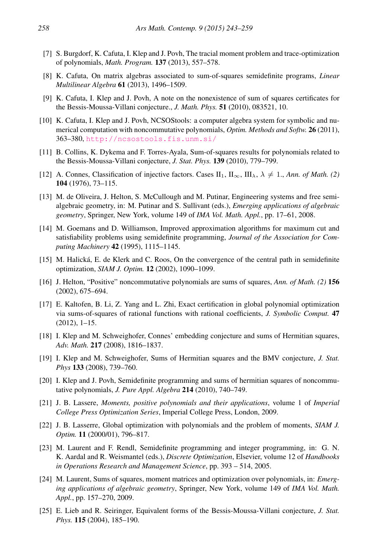- <span id="page-15-14"></span>[7] S. Burgdorf, K. Cafuta, I. Klep and J. Povh, The tracial moment problem and trace-optimization of polynomials, *Math. Program.* 137 (2013), 557–578.
- <span id="page-15-2"></span>[8] K. Cafuta, On matrix algebras associated to sum-of-squares semidefinite programs, *Linear Multilinear Algebra* 61 (2013), 1496–1509.
- <span id="page-15-18"></span>[9] K. Cafuta, I. Klep and J. Povh, A note on the nonexistence of sum of squares certificates for the Bessis-Moussa-Villani conjecture., *J. Math. Phys.* 51 (2010), 083521, 10.
- <span id="page-15-6"></span>[10] K. Cafuta, I. Klep and J. Povh, NCSOStools: a computer algebra system for symbolic and numerical computation with noncommutative polynomials, *Optim. Methods and Softw.* 26 (2011), 363–380, <http://ncsostools.fis.unm.si/>
- <span id="page-15-17"></span>[11] B. Collins, K. Dykema and F. Torres-Ayala, Sum-of-squares results for polynomials related to the Bessis-Moussa-Villani conjecture, *J. Stat. Phys.* 139 (2010), 779–799.
- <span id="page-15-5"></span>[12] A. Connes, Classification of injective factors. Cases  $II_1$ ,  $II_\infty$ ,  $III_\lambda$ ,  $\lambda \neq 1$ ., *Ann. of Math.* (2) 104 (1976), 73–115.
- <span id="page-15-4"></span>[13] M. de Oliveira, J. Helton, S. McCullough and M. Putinar, Engineering systems and free semialgebraic geometry, in: M. Putinar and S. Sullivant (eds.), *Emerging applications of algebraic geometry*, Springer, New York, volume 149 of *IMA Vol. Math. Appl.*, pp. 17–61, 2008.
- <span id="page-15-8"></span>[14] M. Goemans and D. Williamson, Improved approximation algorithms for maximum cut and satisfiability problems using semidefinite programming, *Journal of the Association for Computing Machinery* 42 (1995), 1115–1145.
- <span id="page-15-15"></span>[15] M. Halická, E. de Klerk and C. Roos, On the convergence of the central path in semidefinite optimization, *SIAM J. Optim.* 12 (2002), 1090–1099.
- <span id="page-15-0"></span>[16] J. Helton, "Positive" noncommutative polynomials are sums of squares, *Ann. of Math. (2)* 156 (2002), 675–694.
- <span id="page-15-7"></span>[17] E. Kaltofen, B. Li, Z. Yang and L. Zhi, Exact certification in global polynomial optimization via sums-of-squares of rational functions with rational coefficients, *J. Symbolic Comput.* 47 (2012), 1–15.
- <span id="page-15-1"></span>[18] I. Klep and M. Schweighofer, Connes' embedding conjecture and sums of Hermitian squares, *Adv. Math.* 217 (2008), 1816–1837.
- <span id="page-15-3"></span>[19] I. Klep and M. Schweighofer, Sums of Hermitian squares and the BMV conjecture, *J. Stat. Phys* 133 (2008), 739–760.
- <span id="page-15-13"></span>[20] I. Klep and J. Povh, Semidefinite programming and sums of hermitian squares of noncommutative polynomials, *J. Pure Appl. Algebra* 214 (2010), 740–749.
- <span id="page-15-11"></span>[21] J. B. Lassere, *Moments, positive polynomials and their applications*, volume 1 of *Imperial College Press Optimization Series*, Imperial College Press, London, 2009.
- <span id="page-15-10"></span>[22] J. B. Lasserre, Global optimization with polynomials and the problem of moments, *SIAM J. Optim.* 11 (2000/01), 796–817.
- <span id="page-15-9"></span>[23] M. Laurent and F. Rendl, Semidefinite programming and integer programming, in: G. N. K. Aardal and R. Weismantel (eds.), *Discrete Optimization*, Elsevier, volume 12 of *Handbooks in Operations Research and Management Science*, pp. 393 – 514, 2005.
- <span id="page-15-12"></span>[24] M. Laurent, Sums of squares, moment matrices and optimization over polynomials, in: *Emerging applications of algebraic geometry*, Springer, New York, volume 149 of *IMA Vol. Math. Appl.*, pp. 157–270, 2009.
- <span id="page-15-16"></span>[25] E. Lieb and R. Seiringer, Equivalent forms of the Bessis-Moussa-Villani conjecture, *J. Stat. Phys.* 115 (2004), 185–190.